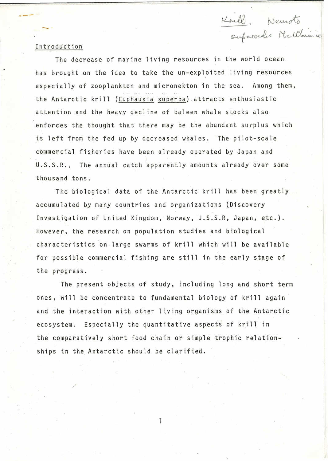## -.<br>Superselex McUthinie

 $\rightarrow$ 

The decrease of marine living resources in the world ocean has brought on the idea to take the un-exploited living resources especially of zooplankton and micronekton in the sea. Among them, the Antarctic krill (Euphausia superba) attracts enthusiastic attention and the heavy decline of baleen whale stocks also enforces the thought that there may be the abundant surplus which is left from the fed up by decreased whales. The pilot-scale commercial fisheries have been already operated by Japan and U.S.S.R.. The annual catch apparently amounts already over some thousand tons.

Krill. Nemoto

The biological data of the Antarctic krill has been greatly accumulated by many countries and organizations (Discovery Investigation of United Kingdom, Norway, U.S.S.R, Japan, etc.). However, the research on population studies and biological characteristics on large swarms of krill which will be available for possible commercial fishing are still in the early stage of the progress.

The present objects of study, including long and short term ones, will be concentrate to fundamental biology of krill again and the interaction with other living organisms of the Antarctic ecosystem. Especially the quantitative aspects of krill in the comparatively short food chain or simple trophic relationships in the Antarctic should be clarified.

1

I 1.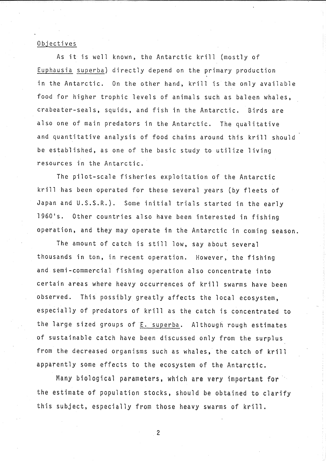## Objectives

As it is well known, the Antarctic krill (mostly of Euphausia superba) directly depend on the primary production in the Antarctic. On the other hand, krill is the only available food for higher trophic levels of animals such as baleen whales, crabeater-seals, squids, and fish in the Antarctic. Birds are also one of main predators in the Antarctic. The qualitative and quantitative analysis of food chains around this krill should be established, as one of the basic study to utilize living resources in the Antarctic.

The pilot-scale fisheries exploitation of the Antarctic krill has been operated for these several years (by fleets of Japan and U.S.S.R.). Some initial trials started in the early l960•s. Other countries also have been interested in fishing operation, and they may operate in the Antarctic in coming season.

The amount of catch is still low, say about several thousands in ton, in recent operation. However, the fishing and semi-commercial fishing operation also concentrate into certain areas where heavy occurrences of krill swarms have been observed. This possibly greatly affects the local ecosystem, especially of predators of krill as the catch is concentrated to the large sized groups of E. superba. Although rough estimates of sustainable catch have been discussed only from the surplus from the decreased organisms such as whales, the catch of krill apparently some effects to the ecosystem of the Antarctic.

Many biological parameters, which are very important for the estimate of population stocks, should be obtained to clarify this subject, especially from those heavy swarms of krill.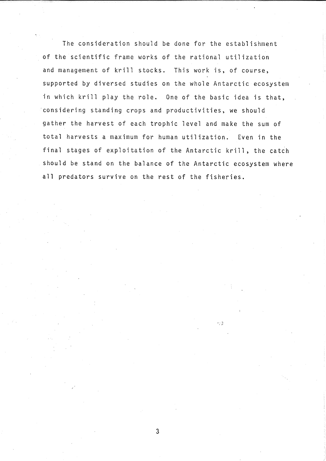The consideration should be done for the establishment of the scientific frame works of the rational utilization and management of krill stocks. This work is, of course, supported by diversed studies on the whole Antarctic ecosystem in which krill play the role. One of the basic idea is that, ·considering standing crops and productivities, we should gather the harvest of each trophic level and make the sum of total harvests a maximum for human utilization. Even in the final stages of exploitation of the Antarctic krill, the catch should be stand on the balance of the Antarctic ecosystem where all predators survive on the rest of the fisheries.

 $\rightarrow$  :  $\frac{1}{\Omega}$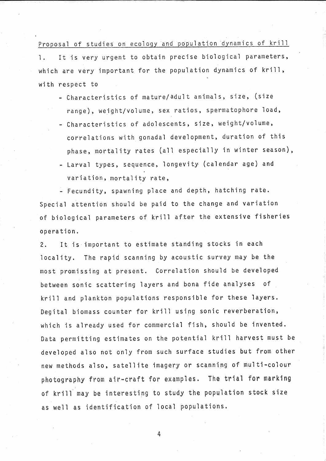Proposal of studies on ecology and population dynamics of krill 1. It is very urgent to obtain precise biological parameters, which are very important for the population dynamics of krill, with respect to

- Characteristics of mature/adult animals, size, (size range), weight/volume, sex ratios, spermatophore load,
- Characteristics of adolescents, size, weight/volume, correlations with gonadal development, duration of this phase, mortality rates (all especially in winter season),
- Larval types, sequence, longevity (calendar age) and variation, mortality rate,

- Fecundity, spawning place and depth, hatching rate. Special attention should be paid to the change and variation of biological parameters of krill after the extensive fisheries operation.

2. It is important to estimate standing stocks in each locality. The rapid scanning by acoustic survey may be the most promissing at present. Correlation should be developed between sonic scattering layers and bona fide analyses of krill and plankton populations responsible for these layers. Degital biomass counter for krill using sonic reverberation, which is already used for commercial fish, should be invented. Data permitting estimates on the potential krill harvest must be developed also not only from such surface studies but from other new methods also, satellite imagery or scanning of multi-colour photography from air-craft for examples. The trial for marking of krill may be interesting to study the population stock size as well as identification of local populations.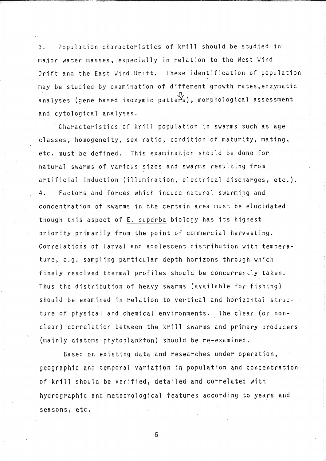3. Population characteristics of krill should be studied in major water masses, especially in relation to the West Wind Drift and the East Wind Drift. These identification of population may be studied by examination of different growth rates,enzymatic analyses (gene based isozymic patters), morphological assessment and cytological analyses.

Characteristics of krill population in swarms such as age classes, homogeneity, sex ratio; condition of maturity, mating, etc. must be defined. This examination should be done for natural swarms of various sizes and swarms resulting from artificial induction (illumination, electrical discharges, etc.). 4. Factors and forces which induce natural swarming and concentration of swarms in the certain area must be elucidated though this aspect of E. superba biology has its highest priority primarily from the point of commercial harvesting. Correlations of larval and adolescent distribution with temperature, e.g. sampling particular depth horizons through which finely resolved thermal profiles should be concurrently taken. Thus the distribution of heavy swarms (available for fishing) should be examined in relation to vertical and horizontal structure of physical and chemical environments. The clear (or nonclear) correlation between the krill swarms and primary producers (mainly diatoms phytoplankton) should be re-examined.

Based on existing data and researches under operation, geographic and temporal variation in population and concentration of krill should be verified, detailed and correlated with hydrographic and meteorological features according to years and seasons, etc.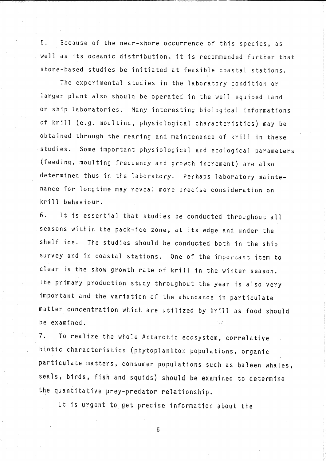5. Because of the near-shore occurrence of this species, as well as its oceanic distribution, it is recommended further that shore-based studies be initiated at feasible coastal stations.

The experimental studies in the laboratory condition or larger plant also should be operated in the well equiped land or ship laboratories. Many interesting biological informations of krill (e.g. moulting, physiological characteristics) may be obtained through the rearing and maintenance of krill in these studies. Some important physiological and ecological parameters (feeding, moulting frequency and growth increment) are also determined thus in the laboratory. Perhaps laboratory maintenance for longtime may reveal more precise consideration on krill behaviour.

6. It is essential that studies be conducted throughout all seasons within the pack-ice zone, at its edge and under the shelf ice. The studies should be conducted both in the ship survey and in coastal stations. One of the important item to clear is the show growth rate of krill in the winter season. The primary production study throughout the year is also very important and the variation of the abundance in particulate matter concentration which are utilized by krill as food should be examined.

7. To realize the whole Antarctic ecosystem, correlative biotic characteristics (phytoplankton populations, organic particulate matters, consumer populations such as baleen whales, seals, birds, fish and squids) should be examined to determine the quantitative prey-predator relationship.

It is urgent to get precise information about the